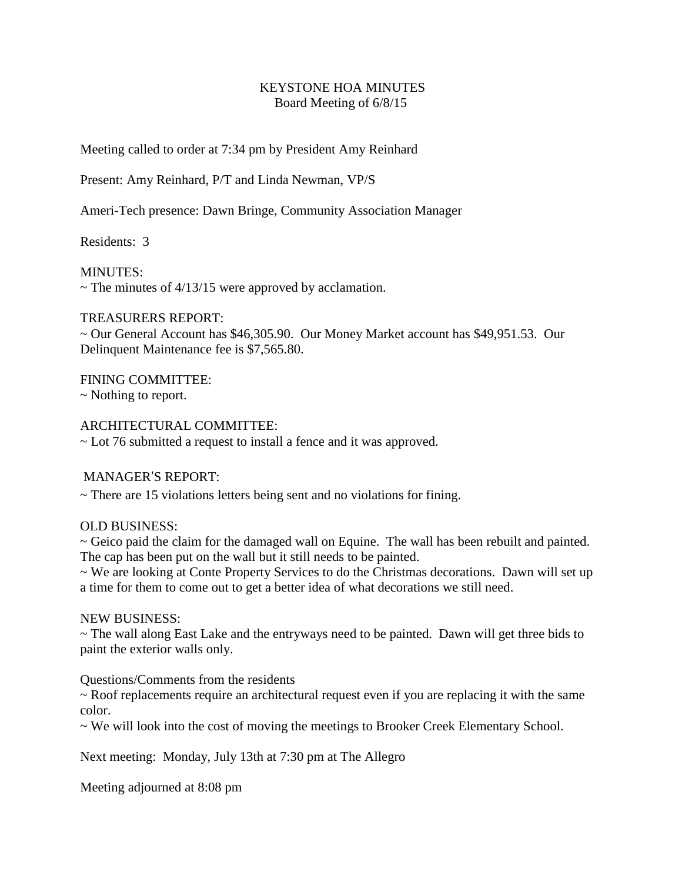## KEYSTONE HOA MINUTES Board Meeting of 6/8/15

Meeting called to order at 7:34 pm by President Amy Reinhard

Present: Amy Reinhard, P/T and Linda Newman, VP/S

Ameri-Tech presence: Dawn Bringe, Community Association Manager

Residents: 3

MINUTES:

 $\sim$  The minutes of 4/13/15 were approved by acclamation.

### TREASURERS REPORT:

~ Our General Account has \$46,305.90. Our Money Market account has \$49,951.53. Our Delinquent Maintenance fee is \$7,565.80.

FINING COMMITTEE: ~ Nothing to report.

## ARCHITECTURAL COMMITTEE:

~ Lot 76 submitted a request to install a fence and it was approved.

# MANAGER'S REPORT:

~ There are 15 violations letters being sent and no violations for fining.

### OLD BUSINESS:

 $\sim$  Geico paid the claim for the damaged wall on Equine. The wall has been rebuilt and painted. The cap has been put on the wall but it still needs to be painted.

~ We are looking at Conte Property Services to do the Christmas decorations. Dawn will set up a time for them to come out to get a better idea of what decorations we still need.

### NEW BUSINESS:

~ The wall along East Lake and the entryways need to be painted. Dawn will get three bids to paint the exterior walls only.

Questions/Comments from the residents

~ Roof replacements require an architectural request even if you are replacing it with the same color.

~ We will look into the cost of moving the meetings to Brooker Creek Elementary School.

Next meeting: Monday, July 13th at 7:30 pm at The Allegro

Meeting adjourned at 8:08 pm